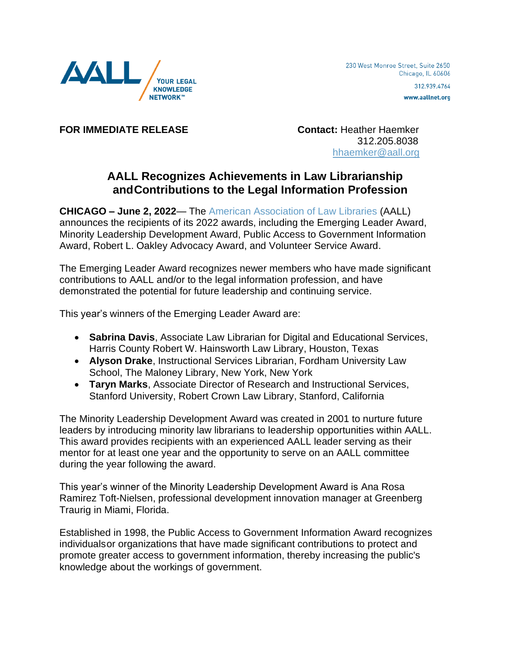

www.aallnet.org

**FOR IMMEDIATE RELEASE Contact:** Heather Haemker

 312.205.8038 [hhaemker@aall.org](mailto:hhaemker@aall.org)

## **AALL Recognizes Achievements in Law Librarianship andContributions to the Legal Information Profession**

**CHICAGO – June 2, 2022**— The [American Association of Law Libraries](https://www.aallnet.org/) (AALL) announces the recipients of its 2022 awards, including the Emerging Leader Award, Minority Leadership Development Award, Public Access to Government Information Award, Robert L. Oakley Advocacy Award, and Volunteer Service Award.

The Emerging Leader Award recognizes newer members who have made significant contributions to AALL and/or to the legal information profession, and have demonstrated the potential for future leadership and continuing service.

This year's winners of the Emerging Leader Award are:

- **Sabrina Davis**, Associate Law Librarian for Digital and Educational Services, Harris County Robert W. Hainsworth Law Library, Houston, Texas
- **Alyson Drake**, Instructional Services Librarian, Fordham University Law School, The Maloney Library, New York, New York
- **Taryn Marks**, Associate Director of Research and Instructional Services, Stanford University, Robert Crown Law Library, Stanford, California

The Minority Leadership Development Award was created in 2001 to nurture future leaders by introducing minority law librarians to leadership opportunities within AALL. This award provides recipients with an experienced AALL leader serving as their mentor for at least one year and the opportunity to serve on an AALL committee during the year following the award.

This year's winner of the Minority Leadership Development Award is Ana Rosa Ramirez Toft-Nielsen, professional development innovation manager at Greenberg Traurig in Miami, Florida.

Established in 1998, the Public Access to Government Information Award recognizes individualsor organizations that have made significant contributions to protect and promote greater access to government information, thereby increasing the public's knowledge about the workings of government.